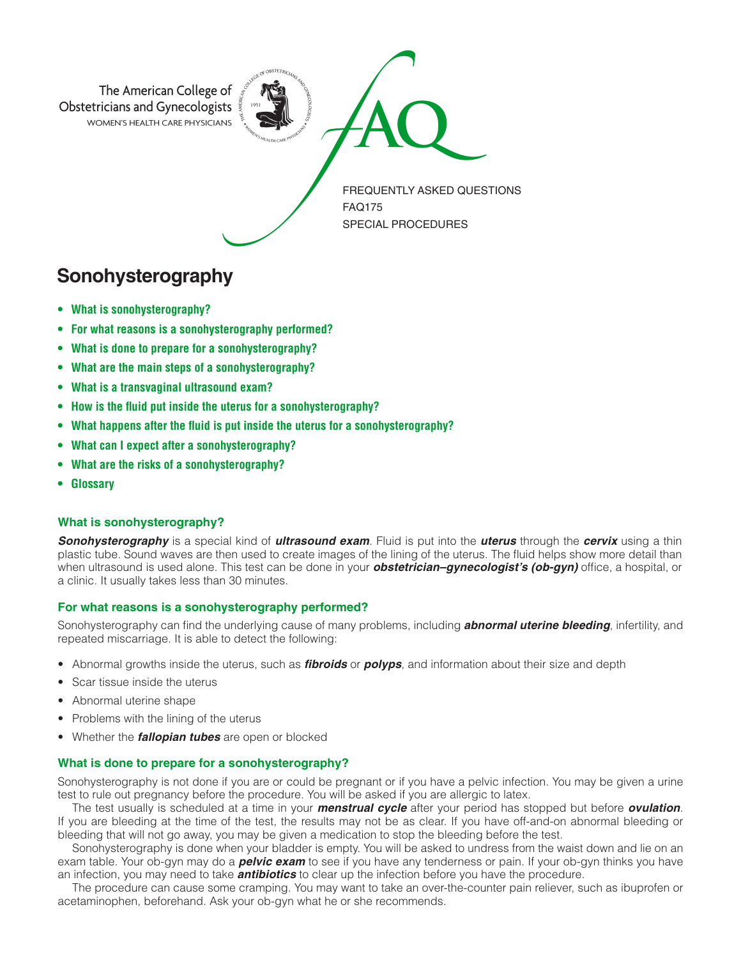

# **Sonohysterography**

- **• What is sonohysterography?**
- **• For what reasons is a sonohysterography performed?**
- **• What is done to prepare for a sonohysterography?**
- **• What are the main steps of a sonohysterography?**
- **• What is a transvaginal ultrasound exam?**
- **• How is the fluid put inside the uterus for a sonohysterography?**
- **• What happens after the fluid is put inside the uterus for a sonohysterography?**
- **• What can I expect after a sonohysterography?**
- **• What are the risks of a sonohysterography?**
- **• Glossary**

## **What is sonohysterography?**

*Sonohysterography* is a special kind of *ultrasound exam*. Fluid is put into the *uterus* through the *cervix* using a thin plastic tube. Sound waves are then used to create images of the lining of the uterus. The fluid helps show more detail than when ultrasound is used alone. This test can be done in your *obstetrician–gynecologist's (ob-gyn)* office, a hospital, or a clinic. It usually takes less than 30 minutes.

## **For what reasons is a sonohysterography performed?**

Sonohysterography can find the underlying cause of many problems, including *abnormal uterine bleeding*, infertility, and repeated miscarriage. It is able to detect the following:

- Abnormal growths inside the uterus, such as *fibroids* or *polyps*, and information about their size and depth
- Scar tissue inside the uterus
- Abnormal uterine shape
- Problems with the lining of the uterus
- Whether the *fallopian tubes* are open or blocked

## **What is done to prepare for a sonohysterography?**

Sonohysterography is not done if you are or could be pregnant or if you have a pelvic infection. You may be given a urine test to rule out pregnancy before the procedure. You will be asked if you are allergic to latex.

The test usually is scheduled at a time in your *menstrual cycle* after your period has stopped but before *ovulation*. If you are bleeding at the time of the test, the results may not be as clear. If you have off-and-on abnormal bleeding or bleeding that will not go away, you may be given a medication to stop the bleeding before the test.

Sonohysterography is done when your bladder is empty. You will be asked to undress from the waist down and lie on an exam table. Your ob-gyn may do a *pelvic exam* to see if you have any tenderness or pain. If your ob-gyn thinks you have an infection, you may need to take *antibiotics* to clear up the infection before you have the procedure.

The procedure can cause some cramping. You may want to take an over-the-counter pain reliever, such as ibuprofen or acetaminophen, beforehand. Ask your ob-gyn what he or she recommends.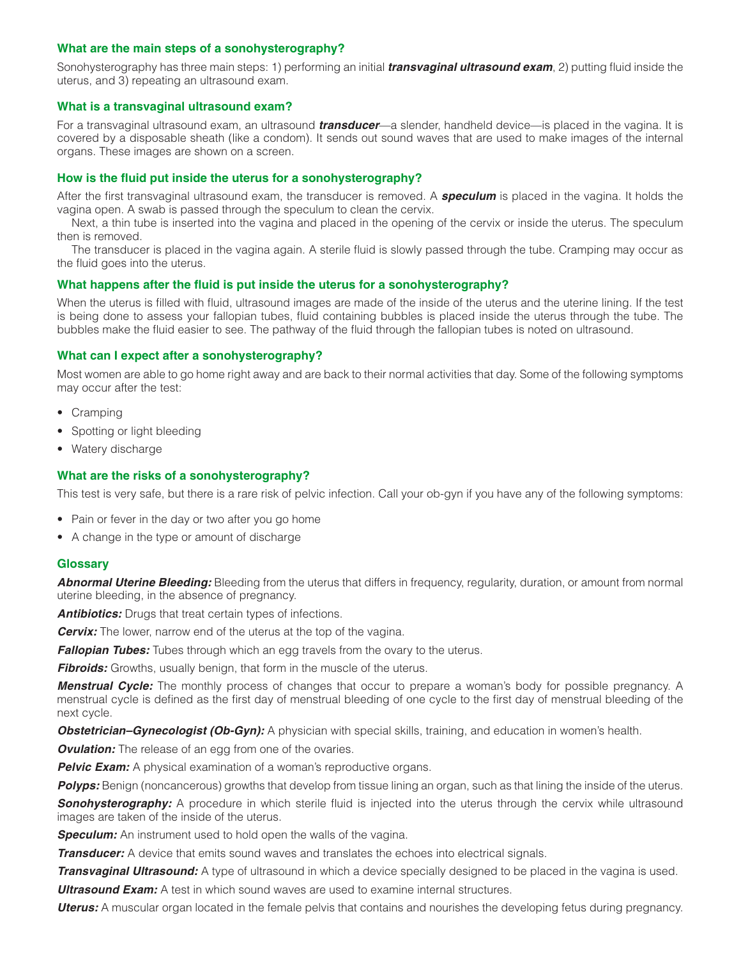#### **What are the main steps of a sonohysterography?**

Sonohysterography has three main steps: 1) performing an initial *transvaginal ultrasound exam*, 2) putting fluid inside the uterus, and 3) repeating an ultrasound exam.

## **What is a transvaginal ultrasound exam?**

For a transvaginal ultrasound exam, an ultrasound *transducer*—a slender, handheld device—is placed in the vagina. It is covered by a disposable sheath (like a condom). It sends out sound waves that are used to make images of the internal organs. These images are shown on a screen.

## **How is the fluid put inside the uterus for a sonohysterography?**

After the first transvaginal ultrasound exam, the transducer is removed. A *speculum* is placed in the vagina. It holds the vagina open. A swab is passed through the speculum to clean the cervix.

Next, a thin tube is inserted into the vagina and placed in the opening of the cervix or inside the uterus. The speculum then is removed.

The transducer is placed in the vagina again. A sterile fluid is slowly passed through the tube. Cramping may occur as the fluid goes into the uterus.

#### **What happens after the fluid is put inside the uterus for a sonohysterography?**

When the uterus is filled with fluid, ultrasound images are made of the inside of the uterus and the uterine lining. If the test is being done to assess your fallopian tubes, fluid containing bubbles is placed inside the uterus through the tube. The bubbles make the fluid easier to see. The pathway of the fluid through the fallopian tubes is noted on ultrasound.

#### **What can I expect after a sonohysterography?**

Most women are able to go home right away and are back to their normal activities that day. Some of the following symptoms may occur after the test:

- Cramping
- Spotting or light bleeding
- Watery discharge

## **What are the risks of a sonohysterography?**

This test is very safe, but there is a rare risk of pelvic infection. Call your ob-gyn if you have any of the following symptoms:

- Pain or fever in the day or two after you go home
- A change in the type or amount of discharge

#### **Glossary**

*Abnormal Uterine Bleeding:* Bleeding from the uterus that differs in frequency, regularity, duration, or amount from normal uterine bleeding, in the absence of pregnancy.

**Antibiotics:** Drugs that treat certain types of infections.

*Cervix:* The lower, narrow end of the uterus at the top of the vagina.

**Fallopian Tubes:** Tubes through which an egg travels from the ovary to the uterus.

**Fibroids:** Growths, usually benign, that form in the muscle of the uterus.

*Menstrual Cycle:* The monthly process of changes that occur to prepare a woman's body for possible pregnancy. A menstrual cycle is defined as the first day of menstrual bleeding of one cycle to the first day of menstrual bleeding of the next cycle.

*Obstetrician–Gynecologist (Ob-Gyn):* A physician with special skills, training, and education in women's health.

*Ovulation:* The release of an egg from one of the ovaries.

**Pelvic Exam:** A physical examination of a woman's reproductive organs.

**Polyps:** Benign (noncancerous) growths that develop from tissue lining an organ, such as that lining the inside of the uterus.

**Sonohysterography:** A procedure in which sterile fluid is injected into the uterus through the cervix while ultrasound images are taken of the inside of the uterus.

**Speculum:** An instrument used to hold open the walls of the vagina.

*Transducer:* A device that emits sound waves and translates the echoes into electrical signals.

*Transvaginal Ultrasound:* A type of ultrasound in which a device specially designed to be placed in the vagina is used. **Ultrasound Exam:** A test in which sound waves are used to examine internal structures.

*Uterus:* A muscular organ located in the female pelvis that contains and nourishes the developing fetus during pregnancy.